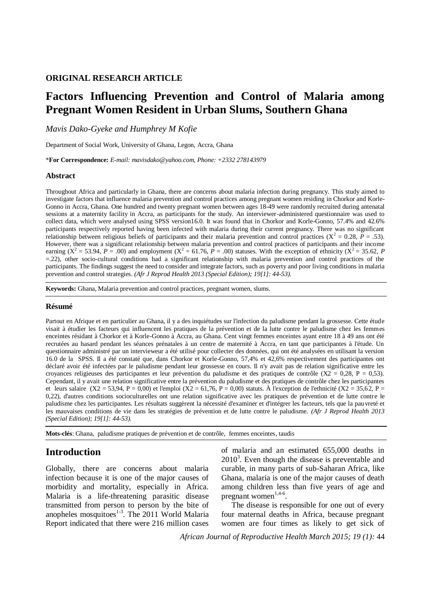### **ORIGINAL RESEARCH ARTICLE**

# **Factors Influencing Prevention and Control of Malaria among Pregnant Women Resident in Urban Slums, Southern Ghana**

*Mavis Dako-Gyeke and Humphrey M Kofie*

Department of Social Work, University of Ghana, Legon, Accra, Ghana

\***For Correspondence:** *E-mail: mavisdako@yahoo.com, Phone: +2332 278143979*

#### **Abstract**

Throughout Africa and particularly in Ghana, there are concerns about malaria infection during pregnancy. This study aimed to investigate factors that influence malaria prevention and control practices among pregnant women residing in Chorkor and Korle-Gonno in Accra, Ghana. One hundred and twenty pregnant women between ages 18-49 were randomly recruited during antenatal sessions at a maternity facility in Accra, as participants for the study. An interviewer-administered questionnaire was used to collect data, which were analysed using SPSS version16.0. It was found that in Chorkor and Korle-Gonno, 57.4% and 42.6% participants respectively reported having been infected with malaria during their current pregnancy. There was no significant relationship between religious beliefs of participants and their malaria prevention and control practices  $(X^2 = 0.28, P = .53)$ . However, there was a significant relationship between malaria prevention and control practices of participants and their income earning ( $X^2 = 53.94$ , *P* = .00) and employment ( $X^2 = 61.76$ , *P* = .00) statuses. With the exception of ethnicity ( $X^2 = 35.62$ , *P* =.22), other socio-cultural conditions had a significant relationship with malaria prevention and control practices of the participants. The findings suggest the need to consider and integrate factors, such as poverty and poor living conditions in malaria prevention and control strategies. *(Afr J Reprod Health 2013 (Special Edition); 19[1]: 44-53).*

**Keywords:** Ghana, Malaria prevention and control practices, pregnant women, slums*.*

#### **Résumé**

Partout en Afrique et en particulier au Ghana, il y a des inquiétudes sur l'infection du paludisme pendant la grossesse. Cette étude visait à étudier les facteurs qui influencent les pratiques de la prévention et de la lutte contre le paludisme chez les femmes enceintes résidant à Chorkor et à Korle-Gonno à Accra, au Ghana. Cent vingt femmes enceintes ayant entre 18 à 49 ans ont été recrutées au hasard pendant les séances prénatales à un centre de maternité à Accra, en tant que participantes à l'étude. Un questionnaire administré par un intervieweur a été utilisé pour collecter des données, qui ont été analysées en utilisant la version 16.0 de la SPSS. Il a été constaté que, dans Chorkor et Korle-Gonno, 57,4% et 42,6% respectivement des participantes ont déclaré avoir été infectées par le paludisme pendant leur grossesse en cours. Il n'y avait pas de relation significative entre les croyances religieuses des participantes et leur prévention du paludisme et des pratiques de contrôle ( $X2 = 0.28$ ,  $P = 0.53$ ). Cependant, il y avait une relation significative entre la prévention du paludisme et des pratiques de contrôle chez les participantes et leurs salaire (X2 = 53,94, P = 0,00) et l'emploi (X2 = 61,76, P = 0,00) statuts. À l'exception de l'ethnicité (X2 = 35,62, P = 0,22), d'autres conditions socioculturelles ont une relation significative avec les pratiques de prévention et de lutte contre le paludisme chez les participantes. Les résultats suggèrent la nécessité d'examiner et d'intégrer les facteurs, tels que la pauvreté et les mauvaises conditions de vie dans les stratégies de prévention et de lutte contre le paludisme. *(Afr J Reprod Health 2013 (Special Edition); 19[1]: 44-53).*

**Mots-clés**: Ghana, paludisme pratiques de prévention et de contrôle, femmes enceintes, taudis

## **Introduction**

Globally, there are concerns about malaria infection because it is one of the major causes of morbidity and mortality, especially in Africa. Malaria is a life-threatening parasitic disease transmitted from person to person by the bite of anopheles mosquitoes $1-3$ . The 2011 World Malaria Report indicated that there were 216 million cases

of malaria and an estimated 655,000 deaths in  $2010<sup>3</sup>$ . Even though the disease is preventable and curable, in many parts of sub-Saharan Africa, like Ghana, malaria is one of the major causes of death among children less than five years of age and pregnant women<sup>1,4-6</sup>.

The disease is responsible for one out of every four maternal deaths in Africa, because pregnant women are four times as likely to get sick of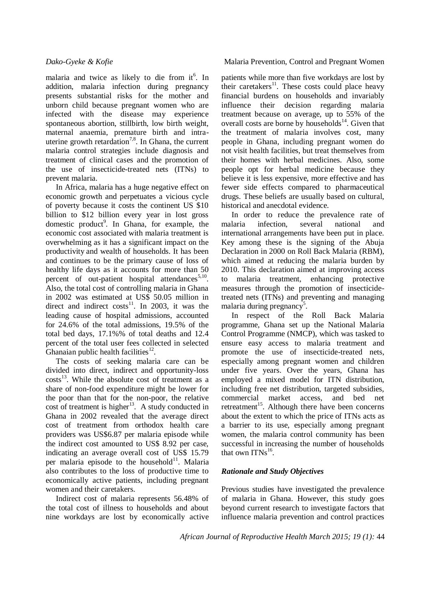malaria and twice as likely to die from it<sup>6</sup>. In addition, malaria infection during pregnancy presents substantial risks for the mother and unborn child because pregnant women who are infected with the disease may experience spontaneous abortion, stillbirth, low birth weight, maternal anaemia, premature birth and intrauterine growth retardation<sup>7,8</sup>. In Ghana, the current malaria control strategies include diagnosis and treatment of clinical cases and the promotion of the use of insecticide-treated nets (ITNs) to prevent malaria.

In Africa, malaria has a huge negative effect on economic growth and perpetuates a vicious cycle of poverty because it costs the continent US \$10 billion to \$12 billion every year in lost gross domestic product<sup>9</sup>. In Ghana, for example, the economic cost associated with malaria treatment is overwhelming as it has a significant impact on the productivity and wealth of households. It has been and continues to be the primary cause of loss of healthy life days as it accounts for more than 50 percent of out-patient hospital attendances<sup>5,10</sup>. Also, the total cost of controlling malaria in Ghana in 2002 was estimated at US\$ 50.05 million in direct and indirect  $costs<sup>11</sup>$ . In 2003, it was the leading cause of hospital admissions, accounted for 24.6% of the total admissions, 19.5% of the total bed days, 17.1%% of total deaths and 12.4 percent of the total user fees collected in selected Ghanaian public health facilities $^{12}$ .

The costs of seeking malaria care can be divided into direct, indirect and opportunity-loss costs<sup>13</sup>. While the absolute cost of treatment as a share of non-food expenditure might be lower for the poor than that for the non-poor, the relative cost of treatment is higher<sup>13</sup>. A study conducted in Ghana in 2002 revealed that the average direct cost of treatment from orthodox health care providers was US\$6.87 per malaria episode while the indirect cost amounted to US\$ 8.92 per case, indicating an average overall cost of US\$ 15.79 per malaria episode to the household<sup>11</sup>. Malaria also contributes to the loss of productive time to economically active patients, including pregnant women and their caretakers.

Indirect cost of malaria represents 56.48% of the total cost of illness to households and about nine workdays are lost by economically active

*Dako-Gyeke & Kofie* **Malaria Prevention, Control and Pregnant Women** 

patients while more than five workdays are lost by their caretakers<sup>11</sup>. These costs could place heavy financial burdens on households and invariably influence their decision regarding malaria treatment because on average, up to 55% of the overall costs are borne by households $14$ . Given that the treatment of malaria involves cost, many people in Ghana, including pregnant women do not visit health facilities, but treat themselves from their homes with herbal medicines. Also, some people opt for herbal medicine because they believe it is less expensive, more effective and has fewer side effects compared to pharmaceutical drugs. These beliefs are usually based on cultural, historical and anecdotal evidence.

In order to reduce the prevalence rate of malaria infection, several national and international arrangements have been put in place. Key among these is the signing of the Abuja Declaration in 2000 on Roll Back Malaria (RBM), which aimed at reducing the malaria burden by 2010. This declaration aimed at improving access to malaria treatment, enhancing protective measures through the promotion of insecticidetreated nets (ITNs) and preventing and managing malaria during pregnancy<sup>5</sup>.

In respect of the Roll Back Malaria programme, Ghana set up the National Malaria Control Programme (NMCP), which was tasked to ensure easy access to malaria treatment and promote the use of insecticide-treated nets, especially among pregnant women and children under five years. Over the years, Ghana has employed a mixed model for ITN distribution, including free net distribution, targeted subsidies, commercial market access, and bed net retreatment<sup>15</sup>. Although there have been concerns about the extent to which the price of ITNs acts as a barrier to its use, especially among pregnant women, the malaria control community has been successful in increasing the number of households that own ITNs<sup>16</sup>.

## *Rationale and Study Objectives*

Previous studies have investigated the prevalence of malaria in Ghana. However, this study goes beyond current research to investigate factors that influence malaria prevention and control practices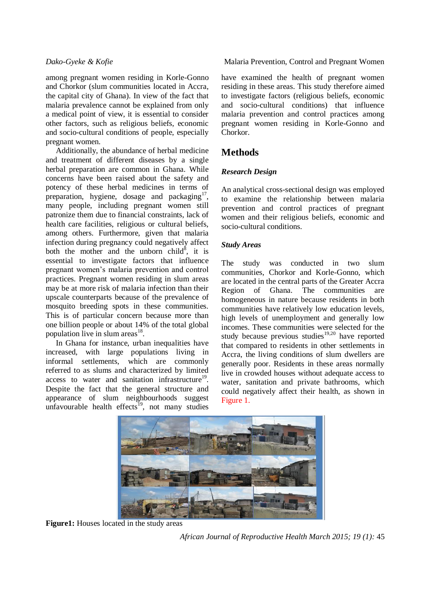among pregnant women residing in Korle-Gonno and Chorkor (slum communities located in Accra, the capital city of Ghana). In view of the fact that malaria prevalence cannot be explained from only a medical point of view, it is essential to consider other factors, such as religious beliefs, economic and socio-cultural conditions of people, especially pregnant women.

Additionally, the abundance of herbal medicine and treatment of different diseases by a single herbal preparation are common in Ghana. While concerns have been raised about the safety and potency of these herbal medicines in terms of preparation, hygiene, dosage and packaging $17$ , many people, including pregnant women still patronize them due to financial constraints, lack of health care facilities, religious or cultural beliefs, among others. Furthermore, given that malaria infection during pregnancy could negatively affect both the mother and the unborn child<sup>8</sup>, it is essential to investigate factors that influence pregnant women's malaria prevention and control practices. Pregnant women residing in slum areas may be at more risk of malaria infection than their upscale counterparts because of the prevalence of mosquito breeding spots in these communities. This is of particular concern because more than one billion people or about 14% of the total global population live in slum areas $^{18}$ .

In Ghana for instance, urban inequalities have increased, with large populations living in informal settlements, which are commonly referred to as slums and characterized by limited access to water and sanitation infrastructure<sup>19</sup>. Despite the fact that the general structure and appearance of slum neighbourhoods suggest unfavourable health effects<sup>19</sup>, not many studies

*Dako-Gyeke & Kofie* **Malaria Prevention, Control and Pregnant Women** 

have examined the health of pregnant women residing in these areas. This study therefore aimed to investigate factors (religious beliefs, economic and socio-cultural conditions) that influence malaria prevention and control practices among pregnant women residing in Korle-Gonno and Chorkor.

## **Methods**

## *Research Design*

An analytical cross-sectional design was employed to examine the relationship between malaria prevention and control practices of pregnant women and their religious beliefs, economic and socio-cultural conditions.

## *Study Areas*

The study was conducted in two slum communities, Chorkor and Korle-Gonno, which are located in the central parts of the Greater Accra Region of Ghana. The communities are homogeneous in nature because residents in both communities have relatively low education levels, high levels of unemployment and generally low incomes. These communities were selected for the study because previous studies<sup>19,20</sup> have reported that compared to residents in other settlements in Accra, the living conditions of slum dwellers are generally poor. Residents in these areas normally live in crowded houses without adequate access to water, sanitation and private bathrooms, which could negatively affect their health, as shown in Figure 1.



**Figure1:** Houses located in the study areas

*African Journal of Reproductive Health March 2015; 19 (1):* 45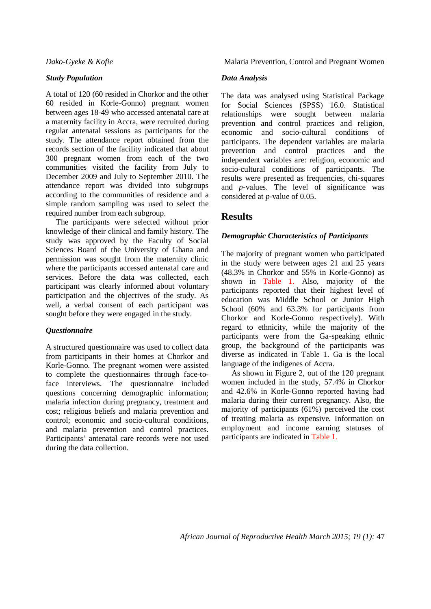### *Study Population*

A total of 120 (60 resided in Chorkor and the other 60 resided in Korle-Gonno) pregnant women between ages 18-49 who accessed antenatal care at a maternity facility in Accra, were recruited during regular antenatal sessions as participants for the study. The attendance report obtained from the records section of the facility indicated that about 300 pregnant women from each of the two communities visited the facility from July to December 2009 and July to September 2010. The attendance report was divided into subgroups according to the communities of residence and a simple random sampling was used to select the required number from each subgroup.

The participants were selected without prior knowledge of their clinical and family history. The study was approved by the Faculty of Social Sciences Board of the University of Ghana and permission was sought from the maternity clinic where the participants accessed antenatal care and services. Before the data was collected, each participant was clearly informed about voluntary participation and the objectives of the study. As well, a verbal consent of each participant was sought before they were engaged in the study.

### *Questionnaire*

A structured questionnaire was used to collect data from participants in their homes at Chorkor and Korle-Gonno. The pregnant women were assisted to complete the questionnaires through face-toface interviews. The questionnaire included questions concerning demographic information; malaria infection during pregnancy, treatment and cost; religious beliefs and malaria prevention and control; economic and socio-cultural conditions, and malaria prevention and control practices. Participants' antenatal care records were not used during the data collection.

*Dako-Gyeke & Kofie* **Malaria Prevention, Control and Pregnant Women** 

### *Data Analysis*

The data was analysed using Statistical Package for Social Sciences (SPSS) 16.0. Statistical relationships were sought between malaria prevention and control practices and religion, economic and socio-cultural conditions of participants. The dependent variables are malaria prevention and control practices and the independent variables are: religion, economic and socio-cultural conditions of participants. The results were presented as frequencies, chi-squares and *p-*values. The level of significance was considered at *p-*value of 0.05.

## **Results**

### *Demographic Characteristics of Participants*

The majority of pregnant women who participated in the study were between ages 21 and 25 years (48.3% in Chorkor and 55% in Korle-Gonno) as shown in Table 1. Also, majority of the participants reported that their highest level of education was Middle School or Junior High School (60% and 63.3% for participants from Chorkor and Korle-Gonno respectively). With regard to ethnicity, while the majority of the participants were from the Ga-speaking ethnic group, the background of the participants was diverse as indicated in Table 1. Ga is the local language of the indigenes of Accra.

As shown in Figure 2, out of the 120 pregnant women included in the study, 57.4% in Chorkor and 42.6% in Korle-Gonno reported having had malaria during their current pregnancy. Also, the majority of participants (61%) perceived the cost of treating malaria as expensive. Information on employment and income earning statuses of participants are indicated in Table 1.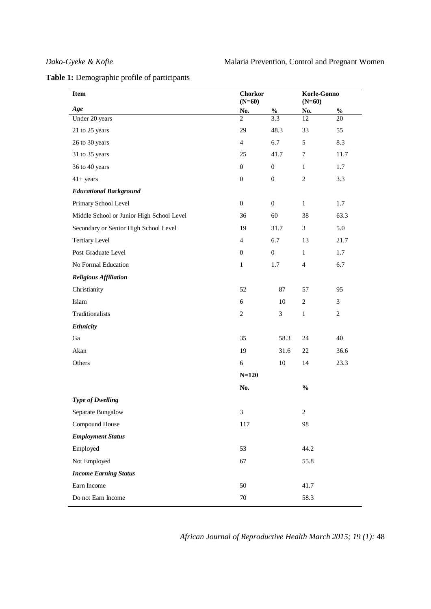| Table 1: Demographic profile of participants |  |
|----------------------------------------------|--|
|----------------------------------------------|--|

| Item                                      | <b>Chorkor</b><br>$(N=60)$ |                  | Korle-Gonno<br>$(N=60)$ |            |
|-------------------------------------------|----------------------------|------------------|-------------------------|------------|
| Age                                       | No.                        | $\frac{0}{0}$    | No.                     | $\%$       |
| Under 20 years                            | $\mathfrak{D}$             | 3.3              | 12                      | 20         |
| 21 to 25 years                            | 29                         | 48.3             | 33                      | 55         |
| 26 to 30 years                            | $\overline{4}$             | 6.7              | 5                       | 8.3        |
| 31 to 35 years                            | 25                         | 41.7             | $\tau$                  | 11.7       |
| 36 to 40 years                            | $\boldsymbol{0}$           | $\boldsymbol{0}$ | $\mathbf{1}$            | 1.7        |
| $41+ years$                               | $\boldsymbol{0}$           | $\boldsymbol{0}$ | $\overline{c}$          | 3.3        |
| <b>Educational Background</b>             |                            |                  |                         |            |
| Primary School Level                      | $\boldsymbol{0}$           | $\boldsymbol{0}$ | $\mathbf 1$             | 1.7        |
| Middle School or Junior High School Level | 36                         | 60               | 38                      | 63.3       |
| Secondary or Senior High School Level     | 19                         | 31.7             | $\mathfrak{Z}$          | 5.0        |
| <b>Tertiary Level</b>                     | $\overline{4}$             | 6.7              | 13                      | 21.7       |
| Post Graduate Level                       | $\boldsymbol{0}$           | $\boldsymbol{0}$ | $\mathbf{1}$            | 1.7        |
| No Formal Education                       | $\mathbf{1}$               | 1.7              | $\overline{4}$          | 6.7        |
| <b>Religious Affiliation</b>              |                            |                  |                         |            |
| Christianity                              | 52                         | 87               | 57                      | 95         |
| Islam                                     | 6                          | 10               | 2                       | 3          |
| Traditionalists                           | $\sqrt{2}$                 | $\mathfrak{Z}$   | $\mathbf{1}$            | $\sqrt{2}$ |
| <b>Ethnicity</b>                          |                            |                  |                         |            |
| Ga                                        | 35                         | 58.3             | 24                      | 40         |
| Akan                                      | 19                         | 31.6             | 22                      | 36.6       |
| Others                                    | $\sqrt{6}$                 | $10\,$           | 14                      | 23.3       |
|                                           | $N = 120$                  |                  |                         |            |
|                                           | No.                        |                  | $\frac{0}{0}$           |            |
| <b>Type of Dwelling</b>                   |                            |                  |                         |            |
| Separate Bungalow                         | $\mathfrak{Z}$             |                  | $\sqrt{2}$              |            |
| Compound House                            | 117                        |                  | 98                      |            |
| <b>Employment Status</b>                  |                            |                  |                         |            |
| Employed                                  | 53                         |                  | 44.2                    |            |
| Not Employed                              | 67                         |                  | 55.8                    |            |
| <b>Income Earning Status</b>              |                            |                  |                         |            |
| Earn Income                               | 50                         |                  | 41.7                    |            |
| Do not Earn Income                        | $70\,$                     |                  | 58.3                    |            |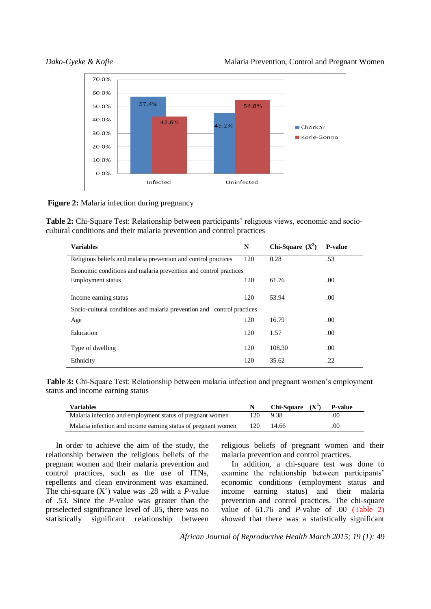

**Figure 2:** Malaria infection during pregnancy

**Table 2:** Chi-Square Test: Relationship between participants' religious views, economic and sociocultural conditions and their malaria prevention and control practices

| <b>Variables</b>                                                       | N   | Chi-Square $(X^2)$ | <b>P</b> -value |  |  |  |  |
|------------------------------------------------------------------------|-----|--------------------|-----------------|--|--|--|--|
| Religious beliefs and malaria prevention and control practices         | 120 | 0.28               | .53             |  |  |  |  |
| Economic conditions and malaria prevention and control practices       |     |                    |                 |  |  |  |  |
| Employment status                                                      | 120 | 61.76              | .00.            |  |  |  |  |
|                                                                        |     | 53.94              |                 |  |  |  |  |
| Income earning status                                                  | 120 |                    | .00.            |  |  |  |  |
| Socio-cultural conditions and malaria prevention and control practices |     |                    |                 |  |  |  |  |
| Age                                                                    | 120 | 16.79              | .00.            |  |  |  |  |
| Education                                                              | 120 | 1.57               | .00             |  |  |  |  |
| Type of dwelling                                                       | 120 | 108.30             | .00.            |  |  |  |  |
| Ethnicity                                                              | 120 | 35.62              | .22             |  |  |  |  |

**Table 3:** Chi-Square Test: Relationship between malaria infection and pregnant women's employment status and income earning status

| <b>Variables</b>                                              |     | Chi-Square $(X^2)$ P-value |     |
|---------------------------------------------------------------|-----|----------------------------|-----|
| Malaria infection and employment status of pregnant women     | 120 | 9.38                       | .00 |
| Malaria infection and income earning status of pregnant women | 120 | 14.66                      | .00 |

In order to achieve the aim of the study, the relationship between the religious beliefs of the pregnant women and their malaria prevention and control practices, such as the use of ITNs, repellents and clean environment was examined. The chi-square  $(X^2)$  value was .28 with a *P*-value of .53. Since the *P-*value was greater than the preselected significance level of .05, there was no statistically significant relationship between

religious beliefs of pregnant women and their malaria prevention and control practices.

In addition, a chi-square test was done to examine the relationship between participants' economic conditions (employment status and income earning status) and their malaria prevention and control practices. The chi-square value of 61.76 and *P*-value of .00 (Table 2) showed that there was a statistically significant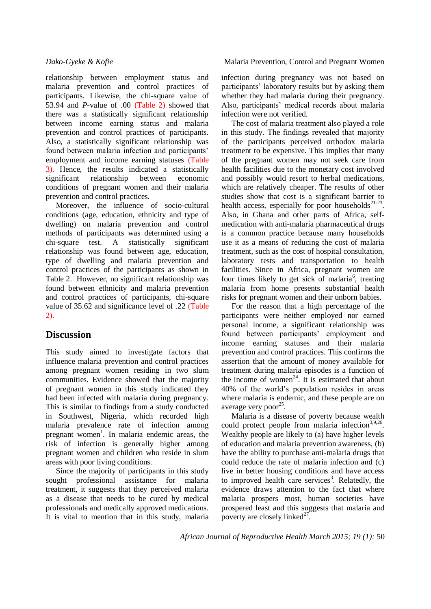relationship between employment status and malaria prevention and control practices of participants. Likewise, the chi-square value of 53.94 and *P*-value of .00 (Table 2) showed that there was a statistically significant relationship between income earning status and malaria prevention and control practices of participants. Also, a statistically significant relationship was found between malaria infection and participants' employment and income earning statuses (Table 3). Hence, the results indicated a statistically significant relationship between economic conditions of pregnant women and their malaria prevention and control practices.

Moreover, the influence of socio-cultural conditions (age, education, ethnicity and type of dwelling) on malaria prevention and control methods of participants was determined using a chi-square test. A statistically significant relationship was found between age, education, type of dwelling and malaria prevention and control practices of the participants as shown in Table 2. However, no significant relationship was found between ethnicity and malaria prevention and control practices of participants, chi-square value of 35.62 and significance level of .22 (Table 2).

## **Discussion**

This study aimed to investigate factors that influence malaria prevention and control practices among pregnant women residing in two slum communities. Evidence showed that the majority of pregnant women in this study indicated they had been infected with malaria during pregnancy. This is similar to findings from a study conducted in Southwest, Nigeria, which recorded high malaria prevalence rate of infection among pregnant women<sup>1</sup>. In malaria endemic areas, the risk of infection is generally higher among pregnant women and children who reside in slum areas with poor living conditions.

Since the majority of participants in this study sought professional assistance for malaria treatment, it suggests that they perceived malaria as a disease that needs to be cured by medical professionals and medically approved medications. It is vital to mention that in this study, malaria

infection during pregnancy was not based on participants' laboratory results but by asking them whether they had malaria during their pregnancy. Also, participants' medical records about malaria infection were not verified.

The cost of malaria treatment also played a role in this study. The findings revealed that majority of the participants perceived orthodox malaria treatment to be expensive. This implies that many of the pregnant women may not seek care from health facilities due to the monetary cost involved and possibly would resort to herbal medications, which are relatively cheaper. The results of other studies show that cost is a significant barrier to health access, especially for poor households<sup> $21-23$ </sup>. Also, in Ghana and other parts of Africa, selfmedication with anti-malaria pharmaceutical drugs is a common practice because many households use it as a means of reducing the cost of malaria treatment, such as the cost of hospital consultation, laboratory tests and transportation to health facilities. Since in Africa, pregnant women are four times likely to get sick of malaria<sup>6</sup>, treating malaria from home presents substantial health risks for pregnant women and their unborn babies.

For the reason that a high percentage of the participants were neither employed nor earned personal income, a significant relationship was found between participants' employment and income earning statuses and their malaria prevention and control practices. This confirms the assertion that the amount of money available for treatment during malaria episodes is a function of the income of women<sup>24</sup>. It is estimated that about 40% of the world's population resides in areas where malaria is endemic, and these people are on average very poor<sup>25</sup>.

Malaria is a disease of poverty because wealth could protect people from malaria infection<sup>3,9,26</sup>. Wealthy people are likely to (a) have higher levels of education and malaria prevention awareness, (b) have the ability to purchase anti-malaria drugs that could reduce the rate of malaria infection and (c) live in better housing conditions and have access to improved health care services<sup>3</sup>. Relatedly, the evidence draws attention to the fact that where malaria prospers most, human societies have prospered least and this suggests that malaria and poverty are closely linked $27$ .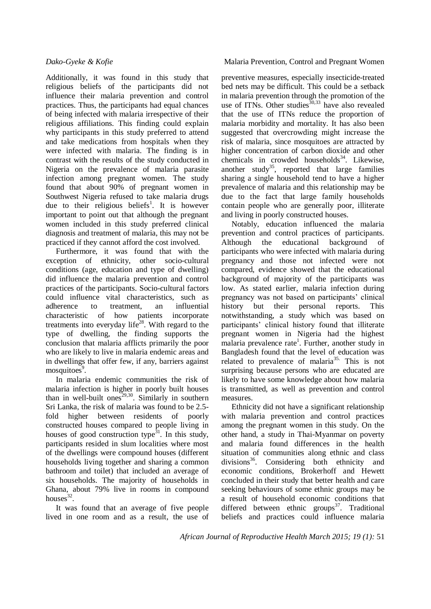Additionally, it was found in this study that religious beliefs of the participants did not influence their malaria prevention and control practices. Thus, the participants had equal chances of being infected with malaria irrespective of their religious affiliations. This finding could explain why participants in this study preferred to attend and take medications from hospitals when they were infected with malaria. The finding is in contrast with the results of the study conducted in Nigeria on the prevalence of malaria parasite infection among pregnant women. The study found that about 90% of pregnant women in Southwest Nigeria refused to take malaria drugs due to their religious beliefs<sup>1</sup>. It is however important to point out that although the pregnant women included in this study preferred clinical diagnosis and treatment of malaria, this may not be practiced if they cannot afford the cost involved.

Furthermore, it was found that with the exception of ethnicity, other socio-cultural conditions (age, education and type of dwelling) did influence the malaria prevention and control practices of the participants. Socio-cultural factors could influence vital characteristics, such as adherence to treatment, an influential characteristic of how patients incorporate treatments into everyday life<sup>28</sup>. With regard to the type of dwelling, the finding supports the conclusion that malaria afflicts primarily the poor who are likely to live in malaria endemic areas and in dwellings that offer few, if any, barriers against mosquitoes<sup>9</sup>.

In malaria endemic communities the risk of malaria infection is higher in poorly built houses than in well-built ones<sup>29,30</sup>. Similarly in southern Sri Lanka, the risk of malaria was found to be 2.5 fold higher between residents of poorly constructed houses compared to people living in houses of good construction type<sup>31</sup>. In this study, participants resided in slum localities where most of the dwellings were compound houses (different households living together and sharing a common bathroom and toilet) that included an average of six households. The majority of households in Ghana, about 79% live in rooms in compound houses $32$ .

It was found that an average of five people lived in one room and as a result, the use of

*Dako-Gyeke & Kofie* **Malaria Prevention, Control and Pregnant Women** 

preventive measures, especially insecticide-treated bed nets may be difficult. This could be a setback in malaria prevention through the promotion of the use of ITNs. Other studies  $30,33$  have also revealed that the use of ITNs reduce the proportion of malaria morbidity and mortality. It has also been suggested that overcrowding might increase the risk of malaria, since mosquitoes are attracted by higher concentration of carbon dioxide and other chemicals in crowded households<sup>34</sup>. Likewise, another study<sup>35</sup>, reported that large families sharing a single household tend to have a higher prevalence of malaria and this relationship may be due to the fact that large family households contain people who are generally poor, illiterate and living in poorly constructed houses.

Notably, education influenced the malaria prevention and control practices of participants. Although the educational background of participants who were infected with malaria during pregnancy and those not infected were not compared, evidence showed that the educational background of majority of the participants was low. As stated earlier, malaria infection during pregnancy was not based on participants' clinical history but their personal reports. This notwithstanding, a study which was based on participants' clinical history found that illiterate pregnant women in Nigeria had the highest malaria prevalence rate<sup>1</sup>. Further, another study in Bangladesh found that the level of education was related to prevalence of malaria<sup>35.</sup> This is not surprising because persons who are educated are likely to have some knowledge about how malaria is transmitted, as well as prevention and control measures.

Ethnicity did not have a significant relationship with malaria prevention and control practices among the pregnant women in this study. On the other hand, a study in Thai-Myanmar on poverty and malaria found differences in the health situation of communities along ethnic and class divisions<sup>36</sup>. Considering both ethnicity and economic conditions, Brokerhoff and Hewett concluded in their study that better health and care seeking behaviours of some ethnic groups may be a result of household economic conditions that differed between ethnic  $\text{groups}^{37}$ . Traditional beliefs and practices could influence malaria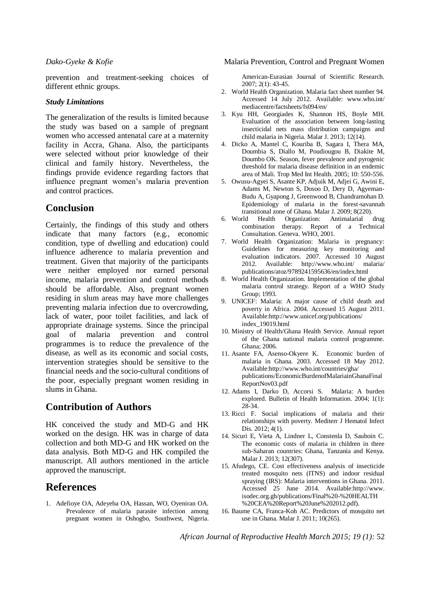prevention and treatment-seeking choices of different ethnic groups.

#### *Study Limitations*

The generalization of the results is limited because the study was based on a sample of pregnant women who accessed antenatal care at a maternity facility in Accra, Ghana. Also, the participants were selected without prior knowledge of their clinical and family history. Nevertheless, the findings provide evidence regarding factors that influence pregnant women's malaria prevention and control practices.

## **Conclusion**

Certainly, the findings of this study and others indicate that many factors (e.g., economic condition, type of dwelling and education) could influence adherence to malaria prevention and treatment. Given that majority of the participants were neither employed nor earned personal income, malaria prevention and control methods should be affordable. Also, pregnant women residing in slum areas may have more challenges preventing malaria infection due to overcrowding, lack of water, poor toilet facilities, and lack of appropriate drainage systems. Since the principal goal of malaria prevention and control programmes is to reduce the prevalence of the disease, as well as its economic and social costs, intervention strategies should be sensitive to the financial needs and the socio-cultural conditions of the poor, especially pregnant women residing in slums in Ghana.

## **Contribution of Authors**

HK conceived the study and MD-G and HK worked on the design. HK was in charge of data collection and both MD-G and HK worked on the data analysis. Both MD-G and HK compiled the manuscript. All authors mentioned in the article approved the manuscript.

## **References**

1. Adefioye OA, Adeyeba OA, Hassan, WO, Oyeniran OA. Prevalence of malaria parasite infection among pregnant women in Oshogbo, Southwest, Nigeria.

American-Eurasian Journal of Scientific Research. 2007; 2(1): 43-45.

- 2. World Health Organization. Malaria fact sheet number 94. Accessed 14 July 2012. Available: www.who.int/ mediacentre/factsheets/fs094/en/
- 3. Kyu HH, Georgiades K, Shannon HS, Boyle MH. Evaluation of the association between long-lasting insecticidal nets mass distribution campaigns and child malaria in Nigeria. Malar J. 2013; 12(14).
- 4. Dicko A, Mantel C, Kouriba B, Sagara I, Thera MA, Doumbia S, Diallo M, Poudiougou B, Diakite M, Doumbo OK. Season, fever prevalence and pyrogenic threshold for malaria disease definition in an endemic area of Mali. Trop Med Int Health. 2005; 10: 550-556.
- 5. Owusu-Agyei S, Asante KP, Adjuik M, Adjei G, Awini E, Adams M, Newton S, Dosoo D, Dery D, Agyeman-Budu A, Gyapong J, Greenwood B, Chandramohan D. Epidemiology of malaria in the forest-savannah transitional zone of Ghana. Malar J. 2009; 8(220).
- 6. World Health Organization: Antimalarial drug combination therapy*.* Report of a Technical Consultation. Geneva. WHO, 2001.
- 7. World Health Organization: Malaria in pregnancy: Guidelines for measuring key monitoring and evaluation indicators. 2007. Accessed 10 August 2012. Available: http://www.who.int/ malaria/ publications/atoz/9789241595636/en/index.html
- 8. World Health Organization. Implementation of the global malaria control strategy. Report of a WHO Study Group; 1993.
- 9. UNICEF: Malaria: A major cause of child death and poverty in Africa. 2004. Accessed 15 August 2011. Available:http://www.unicef.org/publications/ index\_19019.html
- 10. Ministry of Health/Ghana Health Service. Annual report of the Ghana national malaria control programme. Ghana; 2006.
- 11. Asante FA, Asenso-Okyere K. Economic burden of malaria in Ghana. 2003. Accessed 18 May 2012. Available:http://www.who.int/countries/gha/ publications/EconomicBurdenofMalariainGhanaFinal ReportNov03.pdf
- 12. Adams I, Darko D, Accorsi S. Malaria: A burden explored. Bulletin of Health Information. 2004; 1(1): 28-34.
- 13. Ricci F. Social implications of malaria and their relationships with poverty. Mediterr J Hematol Infect Dis. 2012: 4(1).
- 14. Sicuri E, Vieta A, Lindner L, Constenla D, Sauboin C. The economic costs of malaria in children in three sub-Saharan countries: Ghana, Tanzania and Kenya. Malar J. 2013; 12(307).
- 15. Afudego, CE. Cost effectiveness analysis of insecticide treated mosquito nets (ITNS) and indoor residual spraying (IRS): Malaria interventions in Ghana. 2011. Accessed 25 June 2014. Available:http://www. isodec.org.gh/publications/Final%20-%20HEALTH %20CEA%20Report%20June%202012.pdf).
- 16. Baume CA, Franca-Koh AC. Predictors of mosquito net use in Ghana. Malar J. 2011; 10(265).